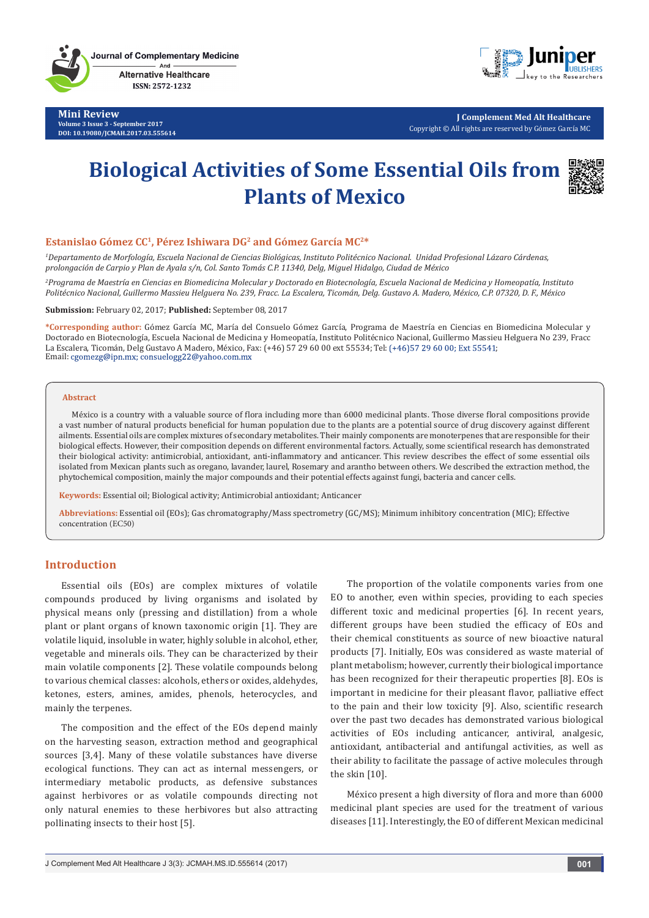**Journal of Complementary Medicine** And **Alternative Healthcare** 

ISSN: 2572-1232

**Mini Review Volume 3 Issue 3 - September 2017 DOI: [10.19080/JCMAH.2017.03.555614](http://dx.doi.org/10.19080/JCMAH.2017.03.555614
)**



**J Complement Med Alt Healthcare** Copyright © All rights are reserved by Gómez García MC

# **Biological Activities of Some Essential Oils from Plants of Mexico**



#### **Estanislao Gómez CC1, Pérez Ishiwara DG2 and Gómez García MC2\***

*1 Departamento de Morfología, Escuela Nacional de Ciencias Biológicas, Instituto Politécnico Nacional. Unidad Profesional Lázaro Cárdenas, prolongación de Carpio y Plan de Ayala s/n, Col. Santo Tomás C.P. 11340, Delg, Miguel Hidalgo, Ciudad de México*

*2 Programa de Maestría en Ciencias en Biomedicina Molecular y Doctorado en Biotecnología, Escuela Nacional de Medicina y Homeopatía, Instituto Politécnico Nacional, Guillermo Massieu Helguera No. 239, Fracc. La Escalera, Ticomán, Delg. Gustavo A. Madero, México, C.P. 07320, D. F., México*

**Submission:** February 02, 2017; **Published:** September 08, 2017

**\*Corresponding author:** Gómez García MC, María del Consuelo Gómez García, Programa de Maestría en Ciencias en Biomedicina Molecular y Doctorado en Biotecnología, Escuela Nacional de Medicina y Homeopatía, Instituto Politécnico Nacional, Guillermo Massieu Helguera No 239, Fracc La Escalera, Ticomán, Delg Gustavo A Madero, México, Fax: (+46) 57 29 60 00 ext 55534; Tel: (+46) 57 29 60 00; Ext 55541; Email: cgomezg@ipn.mx; consuelogg22@yahoo.com.mx

#### **Abstract**

México is a country with a valuable source of flora including more than 6000 medicinal plants. Those diverse floral compositions provide a vast number of natural products beneficial for human population due to the plants are a potential source of drug discovery against different ailments. Essential oils are complex mixtures of secondary metabolites. Their mainly components are monoterpenes that are responsible for their biological effects. However, their composition depends on different environmental factors. Actually, some scientifical research has demonstrated their biological activity: antimicrobial, antioxidant, anti-inflammatory and anticancer. This review describes the effect of some essential oils isolated from Mexican plants such as oregano, lavander, laurel, Rosemary and arantho between others. We described the extraction method, the phytochemical composition, mainly the major compounds and their potential effects against fungi, bacteria and cancer cells.

**Keywords:** Essential oil; Biological activity; Antimicrobial antioxidant; Anticancer

**Abbreviations:** Essential oil (EOs); Gas chromatography/Mass spectrometry (GC/MS); Minimum inhibitory concentration (MIC); Effective concentration (EC50)

## **Introduction**

Essential oils (EOs) are complex mixtures of volatile compounds produced by living organisms and isolated by physical means only (pressing and distillation) from a whole plant or plant organs of known taxonomic origin [1]. They are volatile liquid, insoluble in water, highly soluble in alcohol, ether, vegetable and minerals oils. They can be characterized by their main volatile components [2]. These volatile compounds belong to various chemical classes: alcohols, ethers or oxides, aldehydes, ketones, esters, amines, amides, phenols, heterocycles, and mainly the terpenes.

The composition and the effect of the EOs depend mainly on the harvesting season, extraction method and geographical sources [3,4]. Many of these volatile substances have diverse ecological functions. They can act as internal messengers, or intermediary metabolic products, as defensive substances against herbivores or as volatile compounds directing not only natural enemies to these herbivores but also attracting pollinating insects to their host [5].

The proportion of the volatile components varies from one EO to another, even within species, providing to each species different toxic and medicinal properties [6]. In recent years, different groups have been studied the efficacy of EOs and their chemical constituents as source of new bioactive natural products [7]. Initially, EOs was considered as waste material of plant metabolism; however, currently their biological importance has been recognized for their therapeutic properties [8]. EOs is important in medicine for their pleasant flavor, palliative effect to the pain and their low toxicity [9]. Also, scientific research over the past two decades has demonstrated various biological activities of EOs including anticancer, antiviral, analgesic, antioxidant, antibacterial and antifungal activities, as well as their ability to facilitate the passage of active molecules through the skin [10].

México present a high diversity of flora and more than 6000 medicinal plant species are used for the treatment of various diseases [11]. Interestingly, the EO of different Mexican medicinal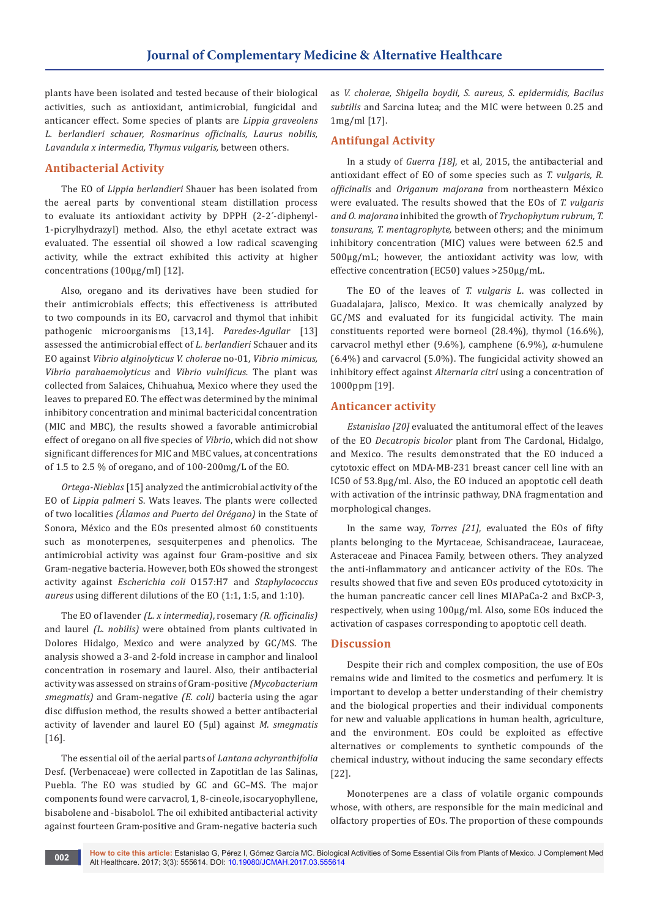plants have been isolated and tested because of their biological activities, such as antioxidant, antimicrobial, fungicidal and anticancer effect. Some species of plants are *Lippia graveolens L. berlandieri schauer, Rosmarinus officinalis, Laurus nobilis, Lavandula x intermedia, Thymus vulgaris,* between others.

## **Antibacterial Activity**

The EO of *Lippia berlandieri* Shauer has been isolated from the aereal parts by conventional steam distillation process to evaluate its antioxidant activity by DPPH (2-2´-diphenyl-1-picrylhydrazyl) method. Also, the ethyl acetate extract was evaluated. The essential oil showed a low radical scavenging activity, while the extract exhibited this activity at higher concentrations (100µg/ml) [12].

Also, oregano and its derivatives have been studied for their antimicrobials effects; this effectiveness is attributed to two compounds in its EO, carvacrol and thymol that inhibit pathogenic microorganisms [13,14]. *Paredes-Aguilar* [13] assessed the antimicrobial effect of *L. berlandieri* Schauer and its EO against *Vibrio alginolyticus V. cholerae* no-01, *Vibrio mimicus, Vibrio parahaemolyticus* and *Vibrio vulnificus.* The plant was collected from Salaices, Chihuahua, Mexico where they used the leaves to prepared EO. The effect was determined by the minimal inhibitory concentration and minimal bactericidal concentration (MIC and MBC), the results showed a favorable antimicrobial effect of oregano on all five species of *Vibrio*, which did not show significant differences for MIC and MBC values, at concentrations of 1.5 to 2.5 % of oregano, and of 100-200mg/L of the EO.

*Ortega-Nieblas* [15] analyzed the antimicrobial activity of the EO of *Lippia palmeri* S. Wats leaves. The plants were collected of two localities *(Álamos and Puerto del Orégano)* in the State of Sonora, México and the EOs presented almost 60 constituents such as monoterpenes, sesquiterpenes and phenolics. The antimicrobial activity was against four Gram-positive and six Gram-negative bacteria. However, both EOs showed the strongest activity against *Escherichia coli* O157:H7 and *Staphylococcus aureus* using different dilutions of the EO (1:1, 1:5, and 1:10).

The EO of lavender *(L. x intermedia)*, rosemary *(R. officinalis)*  and laurel *(L. nobilis)* were obtained from plants cultivated in Dolores Hidalgo, Mexico and were analyzed by GC/MS. The analysis showed a 3-and 2-fold increase in camphor and linalool concentration in rosemary and laurel. Also, their antibacterial activity was assessed on strains of Gram-positive *(Mycobacterium smegmatis)* and Gram-negative *(E. coli)* bacteria using the agar disc diffusion method, the results showed a better antibacterial activity of lavender and laurel EO (5µl) against *M. smegmatis* [16].

The essential oil of the aerial parts of *Lantana achyranthifolia*  Desf. (Verbenaceae) were collected in Zapotitlan de las Salinas, Puebla. The EO was studied by GC and GC–MS. The major components found were carvacrol, 1, 8-cineole, isocaryophyllene, bisabolene and -bisabolol. The oil exhibited antibacterial activity against fourteen Gram-positive and Gram-negative bacteria such as *V. cholerae, Shigella boydii, S. aureus, S. epidermidis, Bacilus subtilis* and Sarcina lutea; and the MIC were between 0.25 and 1mg/ml [17].

## **Antifungal Activity**

In a study of *Guerra [18]*, et al, 2015, the antibacterial and antioxidant effect of EO of some species such as *T. vulgaris, R. officinalis* and *Origanum majorana* from northeastern México were evaluated. The results showed that the EOs of *T. vulgaris and O. majorana* inhibited the growth of *Trychophytum rubrum, T. tonsurans, T. mentagrophyte,* between others; and the minimum inhibitory concentration (MIC) values were between 62.5 and 500µg/mL; however, the antioxidant activity was low, with effective concentration (EC50) values >250µg/mL.

The EO of the leaves of *T. vulgaris L*. was collected in Guadalajara, Jalisco, Mexico. It was chemically analyzed by GC/MS and evaluated for its fungicidal activity. The main constituents reported were borneol (28.4%), thymol (16.6%), carvacrol methyl ether (9.6%), camphene (6.9%), *α*-humulene (6.4%) and carvacrol (5.0%). The fungicidal activity showed an inhibitory effect against *Alternaria citri* using a concentration of 1000ppm [19].

## **Anticancer activity**

*Estanislao [20]* evaluated the antitumoral effect of the leaves of the EO *Decatropis bicolor* plant from The Cardonal, Hidalgo, and Mexico. The results demonstrated that the EO induced a cytotoxic effect on MDA-MB-231 breast cancer cell line with an IC50 of 53.8µg/ml. Also, the EO induced an apoptotic cell death with activation of the intrinsic pathway, DNA fragmentation and morphological changes.

In the same way, *Torres [21]*, evaluated the EOs of fifty plants belonging to the Myrtaceae, Schisandraceae, Lauraceae, Asteraceae and Pinacea Family, between others. They analyzed the anti-inflammatory and anticancer activity of the EOs. The results showed that five and seven EOs produced cytotoxicity in the human pancreatic cancer cell lines MIAPaCa-2 and BxCP-3, respectively, when using 100µg/ml. Also, some EOs induced the activation of caspases corresponding to apoptotic cell death.

## **Discussion**

Despite their rich and complex composition, the use of EOs remains wide and limited to the cosmetics and perfumery. It is important to develop a better understanding of their chemistry and the biological properties and their individual components for new and valuable applications in human health, agriculture, and the environment. EOs could be exploited as effective alternatives or complements to synthetic compounds of the chemical industry, without inducing the same secondary effects [22].

Monoterpenes are a class of volatile organic compounds whose, with others, are responsible for the main medicinal and olfactory properties of EOs. The proportion of these compounds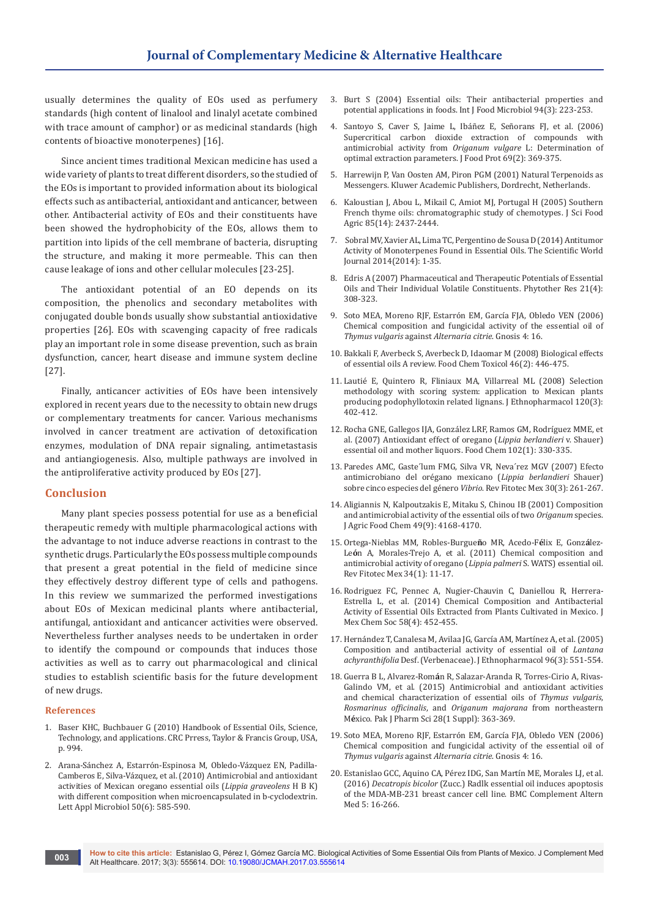usually determines the quality of EOs used as perfumery standards (high content of linalool and linalyl acetate combined with trace amount of camphor) or as medicinal standards (high contents of bioactive monoterpenes) [16].

Since ancient times traditional Mexican medicine has used a wide variety of plants to treat different disorders, so the studied of the EOs is important to provided information about its biological effects such as antibacterial, antioxidant and anticancer, between other. Antibacterial activity of EOs and their constituents have been showed the hydrophobicity of the EOs, allows them to partition into lipids of the cell membrane of bacteria, disrupting the structure, and making it more permeable. This can then cause leakage of ions and other cellular molecules [23-25].

The antioxidant potential of an EO depends on its composition, the phenolics and secondary metabolites with conjugated double bonds usually show substantial antioxidative properties [26]. EOs with scavenging capacity of free radicals play an important role in some disease prevention, such as brain dysfunction, cancer, heart disease and immune system decline [27].

Finally, anticancer activities of EOs have been intensively explored in recent years due to the necessity to obtain new drugs or complementary treatments for cancer. Various mechanisms involved in cancer treatment are activation of detoxification enzymes, modulation of DNA repair signaling, antimetastasis and antiangiogenesis. Also, multiple pathways are involved in the antiproliferative activity produced by EOs [27].

## **Conclusion**

Many plant species possess potential for use as a beneficial therapeutic remedy with multiple pharmacological actions with the advantage to not induce adverse reactions in contrast to the synthetic drugs. Particularly the EOs possess multiple compounds that present a great potential in the field of medicine since they effectively destroy different type of cells and pathogens. In this review we summarized the performed investigations about EOs of Mexican medicinal plants where antibacterial, antifungal, antioxidant and anticancer activities were observed. Nevertheless further analyses needs to be undertaken in order to identify the compound or compounds that induces those activities as well as to carry out pharmacological and clinical studies to establish scientific basis for the future development of new drugs.

#### **References**

- 1. Baser KHC, Buchbauer G (2010) Handbook of Essential Oils, Science, Technology, and applications. CRC Prress, Taylor & Francis Group, USA, p. 994.
- 2. [Arana-Sánchez A, Estarrón-Espinosa M, Obledo-Vázquez EN, Padilla-](https://www.ncbi.nlm.nih.gov/pubmed/20406376)[Camberos E, Silva-Vázquez, et al. \(2010\) Antimicrobial and antioxidant](https://www.ncbi.nlm.nih.gov/pubmed/20406376)  [activities of Mexican oregano essential oils \(](https://www.ncbi.nlm.nih.gov/pubmed/20406376)*Lippia graveolens* H B K) [with different composition when microencapsulated in b-cyclodextrin.](https://www.ncbi.nlm.nih.gov/pubmed/20406376)  [Lett Appl Microbiol 50\(6\): 585-590.](https://www.ncbi.nlm.nih.gov/pubmed/20406376)
- 3. [Burt S \(2004\) Essential oils: Their antibacterial properties and](http://www.sciencedirect.com/science/article/pii/S0168160504001680)  [potential applications in foods. Int J Food Microbiol 94\(3\): 223-253.](http://www.sciencedirect.com/science/article/pii/S0168160504001680)
- 4. [Santoyo S, Caver S, Jaime L, Ibáñez E, Señorans FJ, et al. \(2006\)](https://www.ncbi.nlm.nih.gov/pubmed/16496578)  [Supercritical carbon dioxide extraction of compounds with](https://www.ncbi.nlm.nih.gov/pubmed/16496578)  [antimicrobial activity from](https://www.ncbi.nlm.nih.gov/pubmed/16496578) *Origanum vulgare* L: Determination of [optimal extraction parameters. J Food Prot 69\(2\): 369-375.](https://www.ncbi.nlm.nih.gov/pubmed/16496578)
- 5. Harrewijn P, Van Oosten AM, Piron PGM (2001) Natural Terpenoids as Messengers. Kluwer Academic Publishers, Dordrecht, Netherlands.
- 6. [Kaloustian J, Abou L, Mikail C, Amiot MJ, Portugal H \(2005\) Southern](http://onlinelibrary.wiley.com/doi/10.1002/jsfa.2274/abstract)  [French thyme oils: chromatographic study of chemotypes. J Sci Food](http://onlinelibrary.wiley.com/doi/10.1002/jsfa.2274/abstract)  [Agric 85\(14\): 2437-2444.](http://onlinelibrary.wiley.com/doi/10.1002/jsfa.2274/abstract)
- 7. Sobral MV, Xavier AL, Lima TC, [Pergentino de Sousa D \(2014\) Antitumor](https://www.hindawi.com/journals/tswj/2014/953451/)  [Activity of Monoterpenes Found in Essential Oils. The Scientific World](https://www.hindawi.com/journals/tswj/2014/953451/)  [Journal 2014\(2014\): 1-35.](https://www.hindawi.com/journals/tswj/2014/953451/)
- 8. [Edris A \(2007\) Pharmaceutical and Therapeutic Potentials of Essential](https://www.ncbi.nlm.nih.gov/pubmed/17199238)  [Oils and Their Individual Volatile Constituents. Phytother Res 21\(4\):](https://www.ncbi.nlm.nih.gov/pubmed/17199238)  [308-323.](https://www.ncbi.nlm.nih.gov/pubmed/17199238)
- 9. [Soto MEA, Moreno RJF, Estarrón EM, García FJA, Obledo VEN \(2006\)](http://www.redalyc.org/pdf/730/73000416.pdf)  [Chemical composition and fungicidal activity of the essential oil of](http://www.redalyc.org/pdf/730/73000416.pdf)  *Thymus vulgaris* against *Alternaria citrie*. Gnosis 4: 16.
- 10. [Bakkali F, Averbeck S, Averbeck D, Idaomar M \(2008\) Biological effects](http://www.sciencedirect.com/science/article/pii/S0278691507004541)  [of essential oils A review. Food Chem Toxicol 46\(2\): 446-475.](http://www.sciencedirect.com/science/article/pii/S0278691507004541)
- 11. [Lautié E, Quintero R, Fliniaux MA, Villarreal ML \(2008\) Selection](https://www.ncbi.nlm.nih.gov/pubmed/18930796)  [methodology with scoring system: application to](https://www.ncbi.nlm.nih.gov/pubmed/18930796) Mexican plants [producing podophyllotoxin related lignans. J Ethnopharmacol 120\(3\):](https://www.ncbi.nlm.nih.gov/pubmed/18930796)  [402-412.](https://www.ncbi.nlm.nih.gov/pubmed/18930796)
- 12. [Rocha GNE, Gallegos IJA, González LRF, Ramos GM, Rodríguez MME, et](http://www.sciencedirect.com/science/article/pii/S030881460600416X)  [al. \(2007\) Antioxidant effect of oregano \(](http://www.sciencedirect.com/science/article/pii/S030881460600416X)*Lippia berlandieri* v. Shauer) [essential oil and mother liquors. Food Chem 102\(1\): 330-335.](http://www.sciencedirect.com/science/article/pii/S030881460600416X)
- 13. [Paredes AMC, Gaste´lum FMG, Silva VR, Neva´rez MGV \(2007\) Efecto](http://www.redalyc.org/articulo.oa?id=61003008)  [antimicrobiano del orégano mexicano \(](http://www.redalyc.org/articulo.oa?id=61003008)*Lippia berlandieri* Shauer) sobre cinco especies del género *Vibrio*[. Rev Fitotec Mex 30\(3\): 261-267.](http://www.redalyc.org/articulo.oa?id=61003008)
- 14. [Aligiannis N, Kalpoutzakis E, Mitaku S, Chinou IB \(2001\) Composition](http://pubs.acs.org/doi/abs/10.1021/jf001494m)  [and antimicrobial activity of the essential oils of two](http://pubs.acs.org/doi/abs/10.1021/jf001494m) *Origanum* species. [J Agric Food Chem 49\(9\): 4168-4170.](http://pubs.acs.org/doi/abs/10.1021/jf001494m)
- 15. [Ortega-Nieblas MM, Robles-Burgue](https://www.revistafitotecniamexicana.org/documentos/34-1/2a.pdf)**ñ**o MR, Acedo-F**é**lix E, Gonz**á**lez-Le**ó**[n A, Morales-Trejo A, et al. \(2011\) Chemical composition and](https://www.revistafitotecniamexicana.org/documentos/34-1/2a.pdf)  [antimicrobial activity of oregano \(](https://www.revistafitotecniamexicana.org/documentos/34-1/2a.pdf)*Lippia palmeri* S. WATS) essential oil. [Rev Fitotec Mex 34\(1\): 11-17.](https://www.revistafitotecniamexicana.org/documentos/34-1/2a.pdf)
- 16. [Rodriguez FC, Pennec A, Nugier-Chauvin C, Daniellou R, Herrera-](http://www.scielo.org.mx/scielo.php?script=sci_arttext&pid=S1870-249X2014000400012)[Estrella L, et al. \(2014\) Chemical Composition and Antibacterial](http://www.scielo.org.mx/scielo.php?script=sci_arttext&pid=S1870-249X2014000400012)  [Activity of Essential Oils Extracted from Plants Cultivated in Mexico. J](http://www.scielo.org.mx/scielo.php?script=sci_arttext&pid=S1870-249X2014000400012)  [Mex Chem Soc 58\(4\): 452-455.](http://www.scielo.org.mx/scielo.php?script=sci_arttext&pid=S1870-249X2014000400012)
- 17. [Hernández T, Canalesa M, Avilaa JG, García AM, Martínez A, et al. \(2005\)](https://www.ncbi.nlm.nih.gov/pubmed/15619577)  [Composition and antibacterial activity of essential oil of](https://www.ncbi.nlm.nih.gov/pubmed/15619577) *Lantana achyranthifolia* [Desf. \(Verbenaceae\). J Ethnopharmacol 96\(3\): 551-554.](https://www.ncbi.nlm.nih.gov/pubmed/15619577)
- 18. Guerra B L, Alvarez-Rom**á**[n R, Salazar-Aranda R, Torres-Cirio A, Rivas-](https://www.ncbi.nlm.nih.gov/pubmed/25631514)[Galindo VM, et al. \(2015\) Antimicrobial and antioxidant activities](https://www.ncbi.nlm.nih.gov/pubmed/25631514)  [and chemical characterization of essential oils of](https://www.ncbi.nlm.nih.gov/pubmed/25631514) *Thymus vulgaris*, *[Rosmarinus officinalis](https://www.ncbi.nlm.nih.gov/pubmed/25631514)*, and *Origanum majorana* from northeastern M**é**[xico. Pak J Pharm Sci 28\(1 Suppl\): 363-369.](https://www.ncbi.nlm.nih.gov/pubmed/25631514)
- 19. [Soto MEA, Moreno RJF, Estarrón EM, García FJA, Obledo VEN \(2006\)](http://www.redalyc.org/pdf/730/73000416.pdf)  [Chemical composition and fungicidal activity of the essential oil of](http://www.redalyc.org/pdf/730/73000416.pdf)  *Thymus vulgaris* against *Alternaria citrie*. Gnosis 4: 16.
- 20. [Estanislao GCC, Aquino CA, Pérez IDG,](https://bmccomplementalternmed.biomedcentral.com/articles/10.1186/s12906-016-1136-7) San Martín ME, Morales LJ, et al. (2016) *Decatropis bicolor* [\(Zucc.\) Radlk essential oil induces apoptosis](https://bmccomplementalternmed.biomedcentral.com/articles/10.1186/s12906-016-1136-7)  [of the MDA-MB-231 breast cancer cell line. BMC Complement Altern](https://bmccomplementalternmed.biomedcentral.com/articles/10.1186/s12906-016-1136-7)  Med [5: 16-266.](https://bmccomplementalternmed.biomedcentral.com/articles/10.1186/s12906-016-1136-7)